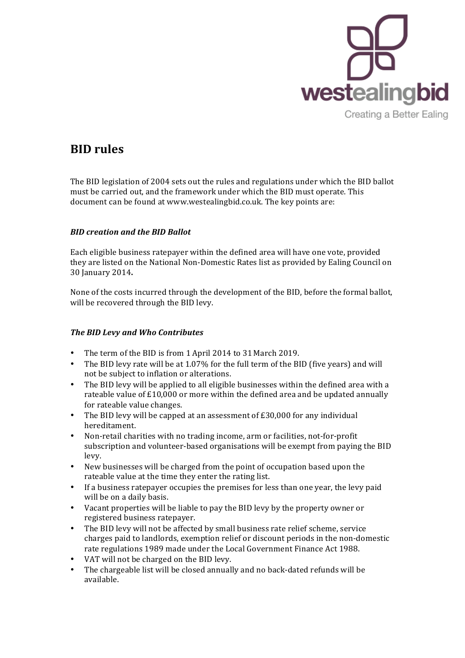

## **BID** rules

The BID legislation of 2004 sets out the rules and regulations under which the BID ballot must be carried out, and the framework under which the BID must operate. This document can be found at www.westealingbid.co.uk. The key points are:

## *BID creation and the BID Ballot*

Each eligible business ratepayer within the defined area will have one vote, provided they are listed on the National Non-Domestic Rates list as provided by Ealing Council on 30 January 2014**.**

None of the costs incurred through the development of the BID, before the formal ballot, will be recovered through the BID levy.

## *The BID Levy and Who Contributes*

- The term of the BID is from 1 April 2014 to 31 March 2019.<br>• The BID levy rate will be at 1 07% for the full term of the BI
- The BID levy rate will be at 1.07% for the full term of the BID (five years) and will not be subject to inflation or alterations.
- The BID levy will be applied to all eligible businesses within the defined area with a rateable value of  $£10,000$  or more within the defined area and be updated annually for rateable value changes.
- The BID levy will be capped at an assessment of  $£30,000$  for any individual hereditament.
- Non-retail charities with no trading income, arm or facilities, not-for-profit subscription and volunteer-based organisations will be exempt from paying the BID levy.
- New businesses will be charged from the point of occupation based upon the rateable value at the time they enter the rating list.
- If a business ratepayer occupies the premises for less than one year, the levy paid will be on a daily basis.
- Vacant properties will be liable to pay the BID levy by the property owner or registered business ratepayer.
- The BID levy will not be affected by small business rate relief scheme, service charges paid to landlords, exemption relief or discount periods in the non-domestic rate regulations 1989 made under the Local Government Finance Act 1988.
- VAT will not be charged on the BID levy.
- The chargeable list will be closed annually and no back-dated refunds will be available.